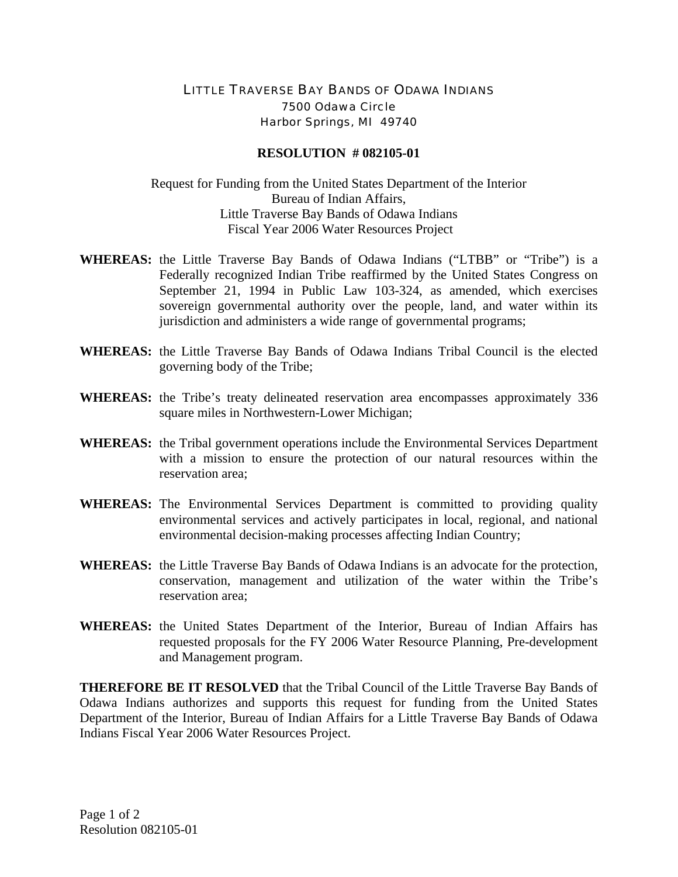## LITTLE TRAVERSE BAY BANDS OF ODAWA INDIANS 7500 Odawa Circle Harbor Springs, MI 49740

## **RESOLUTION # 082105-01**

## Request for Funding from the United States Department of the Interior Bureau of Indian Affairs, Little Traverse Bay Bands of Odawa Indians Fiscal Year 2006 Water Resources Project

- **WHEREAS:** the Little Traverse Bay Bands of Odawa Indians ("LTBB" or "Tribe") is a Federally recognized Indian Tribe reaffirmed by the United States Congress on September 21, 1994 in Public Law 103-324, as amended, which exercises sovereign governmental authority over the people, land, and water within its jurisdiction and administers a wide range of governmental programs;
- **WHEREAS:** the Little Traverse Bay Bands of Odawa Indians Tribal Council is the elected governing body of the Tribe;
- **WHEREAS:** the Tribe's treaty delineated reservation area encompasses approximately 336 square miles in Northwestern-Lower Michigan;
- **WHEREAS:** the Tribal government operations include the Environmental Services Department with a mission to ensure the protection of our natural resources within the reservation area;
- **WHEREAS:** The Environmental Services Department is committed to providing quality environmental services and actively participates in local, regional, and national environmental decision-making processes affecting Indian Country;
- **WHEREAS:** the Little Traverse Bay Bands of Odawa Indians is an advocate for the protection, conservation, management and utilization of the water within the Tribe's reservation area;
- **WHEREAS:** the United States Department of the Interior, Bureau of Indian Affairs has requested proposals for the FY 2006 Water Resource Planning, Pre-development and Management program.

**THEREFORE BE IT RESOLVED** that the Tribal Council of the Little Traverse Bay Bands of Odawa Indians authorizes and supports this request for funding from the United States Department of the Interior, Bureau of Indian Affairs for a Little Traverse Bay Bands of Odawa Indians Fiscal Year 2006 Water Resources Project.